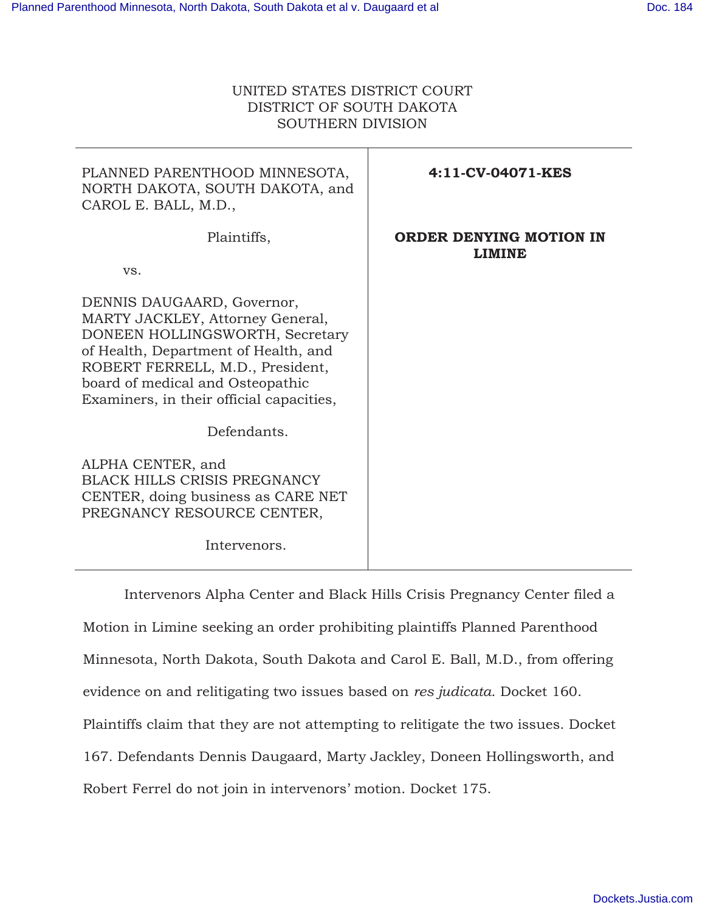# UNITED STATES DISTRICT COURT DISTRICT OF SOUTH DAKOTA SOUTHERN DIVISION

| PLANNED PARENTHOOD MINNESOTA,<br>NORTH DAKOTA, SOUTH DAKOTA, and<br>CAROL E. BALL, M.D.,                                                                                                                                                                      | 4:11-CV-04071-KES                        |
|---------------------------------------------------------------------------------------------------------------------------------------------------------------------------------------------------------------------------------------------------------------|------------------------------------------|
| Plaintiffs,<br>VS.                                                                                                                                                                                                                                            | ORDER DENYING MOTION IN<br><b>LIMINE</b> |
| DENNIS DAUGAARD, Governor,<br>MARTY JACKLEY, Attorney General,<br>DONEEN HOLLINGSWORTH, Secretary<br>of Health, Department of Health, and<br>ROBERT FERRELL, M.D., President,<br>board of medical and Osteopathic<br>Examiners, in their official capacities, |                                          |
| Defendants.                                                                                                                                                                                                                                                   |                                          |
| ALPHA CENTER, and<br><b>BLACK HILLS CRISIS PREGNANCY</b><br>CENTER, doing business as CARE NET<br>PREGNANCY RESOURCE CENTER,                                                                                                                                  |                                          |
| Intervenors.                                                                                                                                                                                                                                                  |                                          |

 Intervenors Alpha Center and Black Hills Crisis Pregnancy Center filed a Motion in Limine seeking an order prohibiting plaintiffs Planned Parenthood Minnesota, North Dakota, South Dakota and Carol E. Ball, M.D., from offering evidence on and relitigating two issues based on *res judicata*. Docket 160. Plaintiffs claim that they are not attempting to relitigate the two issues. Docket 167. Defendants Dennis Daugaard, Marty Jackley, Doneen Hollingsworth, and Robert Ferrel do not join in intervenors' motion. Docket 175.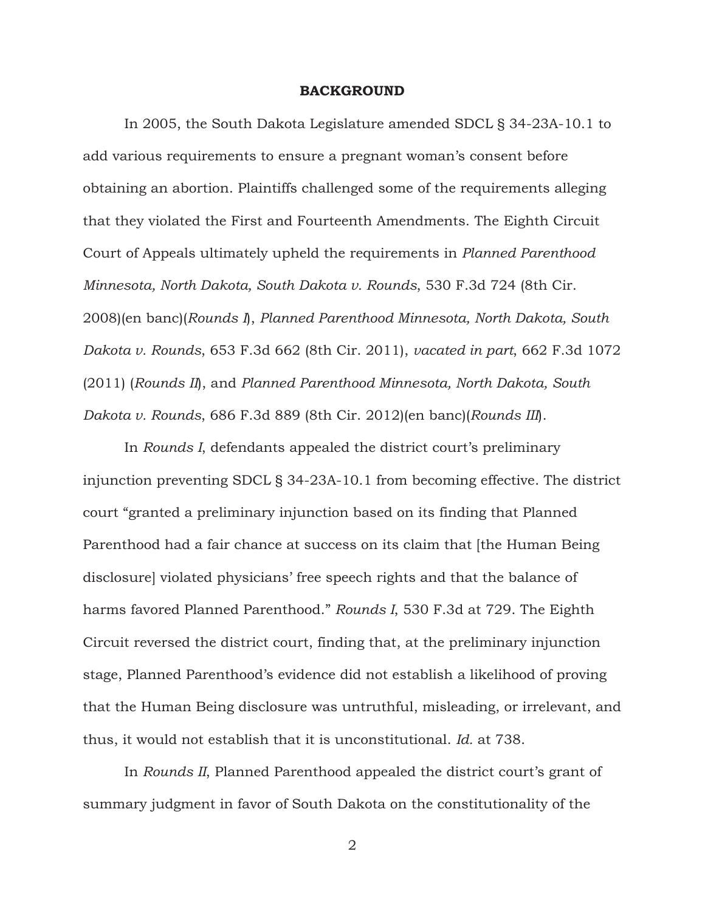#### **BACKGROUND**

 In 2005, the South Dakota Legislature amended SDCL § 34-23A-10.1 to add various requirements to ensure a pregnant woman's consent before obtaining an abortion. Plaintiffs challenged some of the requirements alleging that they violated the First and Fourteenth Amendments. The Eighth Circuit Court of Appeals ultimately upheld the requirements in *Planned Parenthood Minnesota, North Dakota, South Dakota v. Rounds*, 530 F.3d 724 (8th Cir. 2008)(en banc)(*Rounds I*), *Planned Parenthood Minnesota, North Dakota, South Dakota v. Rounds*, 653 F.3d 662 (8th Cir. 2011), *vacated in part*, 662 F.3d 1072 (2011) (*Rounds II*), and *Planned Parenthood Minnesota, North Dakota, South Dakota v. Rounds*, 686 F.3d 889 (8th Cir. 2012)(en banc)(*Rounds III*).

 In *Rounds I*, defendants appealed the district court's preliminary injunction preventing SDCL § 34-23A-10.1 from becoming effective. The district court "granted a preliminary injunction based on its finding that Planned Parenthood had a fair chance at success on its claim that [the Human Being disclosure] violated physicians' free speech rights and that the balance of harms favored Planned Parenthood." *Rounds I*, 530 F.3d at 729. The Eighth Circuit reversed the district court, finding that, at the preliminary injunction stage, Planned Parenthood's evidence did not establish a likelihood of proving that the Human Being disclosure was untruthful, misleading, or irrelevant, and thus, it would not establish that it is unconstitutional. *Id.* at 738.

 In *Rounds II*, Planned Parenthood appealed the district court's grant of summary judgment in favor of South Dakota on the constitutionality of the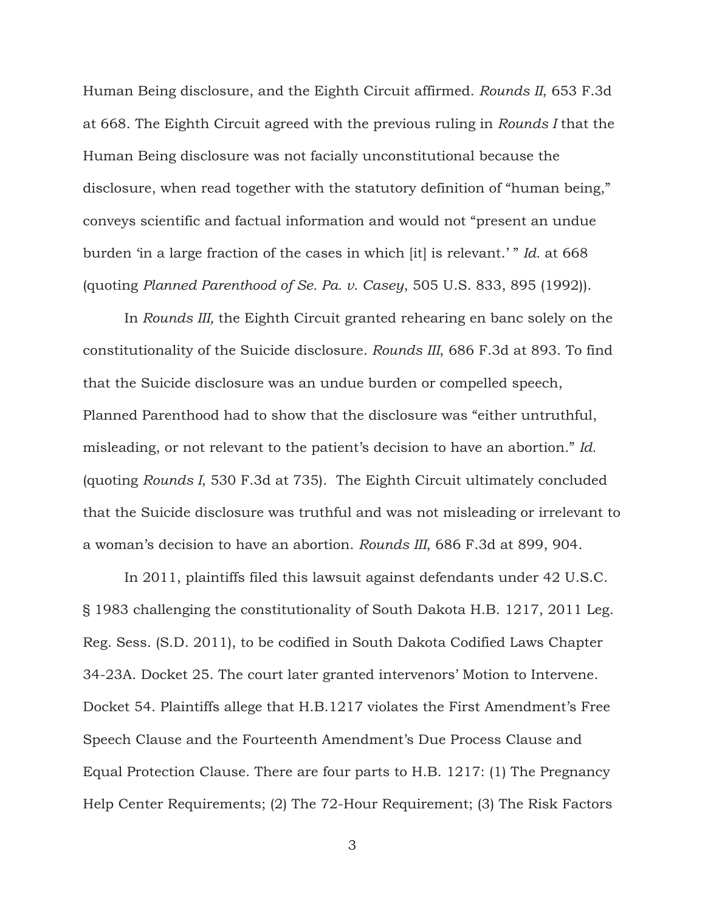Human Being disclosure, and the Eighth Circuit affirmed. *Rounds II*, 653 F.3d at 668. The Eighth Circuit agreed with the previous ruling in *Rounds I* that the Human Being disclosure was not facially unconstitutional because the disclosure, when read together with the statutory definition of "human being," conveys scientific and factual information and would not "present an undue burden 'in a large fraction of the cases in which [it] is relevant.' " *Id.* at 668 (quoting *Planned Parenthood of Se. Pa. v. Casey*, 505 U.S. 833, 895 (1992)).

In *Rounds III,* the Eighth Circuit granted rehearing en banc solely on the constitutionality of the Suicide disclosure. *Rounds III*, 686 F.3d at 893. To find that the Suicide disclosure was an undue burden or compelled speech, Planned Parenthood had to show that the disclosure was "either untruthful, misleading, or not relevant to the patient's decision to have an abortion." *Id.* (quoting *Rounds I*, 530 F.3d at 735). The Eighth Circuit ultimately concluded that the Suicide disclosure was truthful and was not misleading or irrelevant to a woman's decision to have an abortion. *Rounds III*, 686 F.3d at 899, 904.

 In 2011, plaintiffs filed this lawsuit against defendants under 42 U.S.C. § 1983 challenging the constitutionality of South Dakota H.B. 1217, 2011 Leg. Reg. Sess. (S.D. 2011), to be codified in South Dakota Codified Laws Chapter 34-23A. Docket 25. The court later granted intervenors' Motion to Intervene. Docket 54. Plaintiffs allege that H.B.1217 violates the First Amendment's Free Speech Clause and the Fourteenth Amendment's Due Process Clause and Equal Protection Clause. There are four parts to H.B. 1217: (1) The Pregnancy Help Center Requirements; (2) The 72-Hour Requirement; (3) The Risk Factors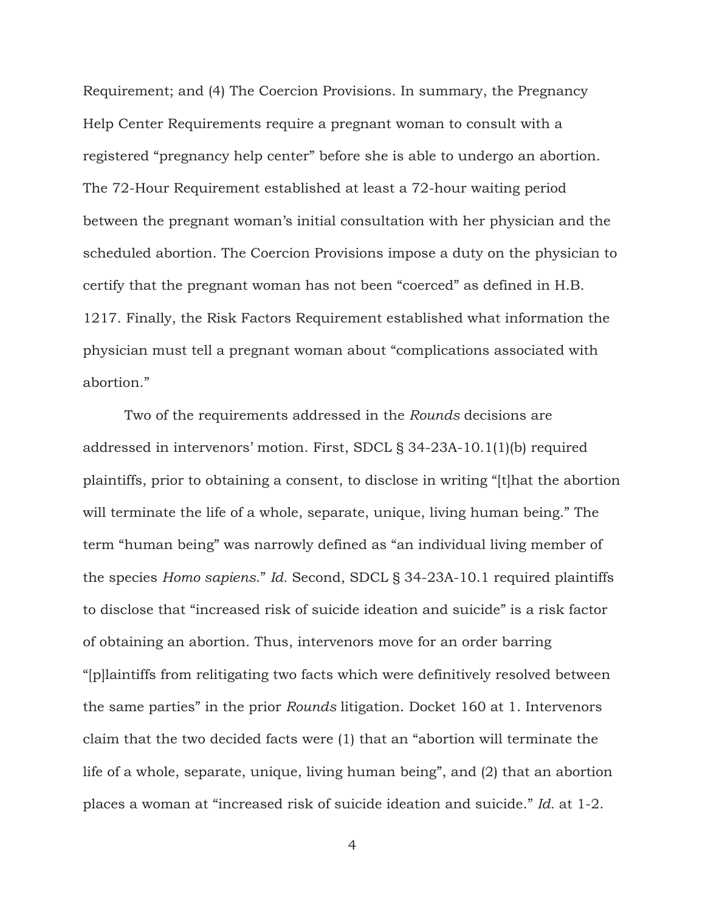Requirement; and (4) The Coercion Provisions. In summary, the Pregnancy Help Center Requirements require a pregnant woman to consult with a registered "pregnancy help center" before she is able to undergo an abortion. The 72-Hour Requirement established at least a 72-hour waiting period between the pregnant woman's initial consultation with her physician and the scheduled abortion. The Coercion Provisions impose a duty on the physician to certify that the pregnant woman has not been "coerced" as defined in H.B. 1217. Finally, the Risk Factors Requirement established what information the physician must tell a pregnant woman about "complications associated with abortion."

 Two of the requirements addressed in the *Rounds* decisions are addressed in intervenors' motion. First, SDCL § 34-23A-10.1(1)(b) required plaintiffs, prior to obtaining a consent, to disclose in writing "[t]hat the abortion will terminate the life of a whole, separate, unique, living human being." The term "human being" was narrowly defined as "an individual living member of the species *Homo sapiens*." *Id.* Second, SDCL § 34-23A-10.1 required plaintiffs to disclose that "increased risk of suicide ideation and suicide" is a risk factor of obtaining an abortion. Thus, intervenors move for an order barring "[p]laintiffs from relitigating two facts which were definitively resolved between the same parties" in the prior *Rounds* litigation. Docket 160 at 1. Intervenors claim that the two decided facts were (1) that an "abortion will terminate the life of a whole, separate, unique, living human being", and (2) that an abortion places a woman at "increased risk of suicide ideation and suicide." *Id.* at 1-2.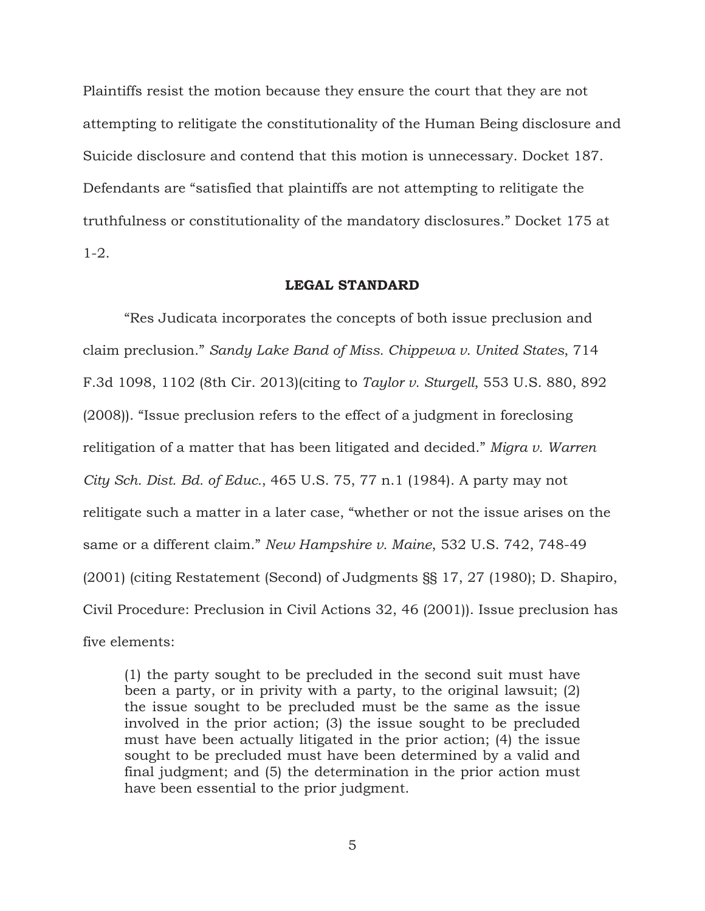Plaintiffs resist the motion because they ensure the court that they are not attempting to relitigate the constitutionality of the Human Being disclosure and Suicide disclosure and contend that this motion is unnecessary. Docket 187. Defendants are "satisfied that plaintiffs are not attempting to relitigate the truthfulness or constitutionality of the mandatory disclosures." Docket 175 at 1-2.

## **LEGAL STANDARD**

 "Res Judicata incorporates the concepts of both issue preclusion and claim preclusion." *Sandy Lake Band of Miss. Chippewa v. United States*, 714 F.3d 1098, 1102 (8th Cir. 2013)(citing to *Taylor v. Sturgell*, 553 U.S. 880, 892 (2008)). "Issue preclusion refers to the effect of a judgment in foreclosing relitigation of a matter that has been litigated and decided." *Migra v. Warren City Sch. Dist. Bd. of Educ.*, 465 U.S. 75, 77 n.1 (1984). A party may not relitigate such a matter in a later case, "whether or not the issue arises on the same or a different claim." *New Hampshire v. Maine*, 532 U.S. 742, 748-49 (2001) (citing Restatement (Second) of Judgments §§ 17, 27 (1980); D. Shapiro, Civil Procedure: Preclusion in Civil Actions 32, 46 (2001)). Issue preclusion has five elements:

(1) the party sought to be precluded in the second suit must have been a party, or in privity with a party, to the original lawsuit; (2) the issue sought to be precluded must be the same as the issue involved in the prior action; (3) the issue sought to be precluded must have been actually litigated in the prior action; (4) the issue sought to be precluded must have been determined by a valid and final judgment; and (5) the determination in the prior action must have been essential to the prior judgment.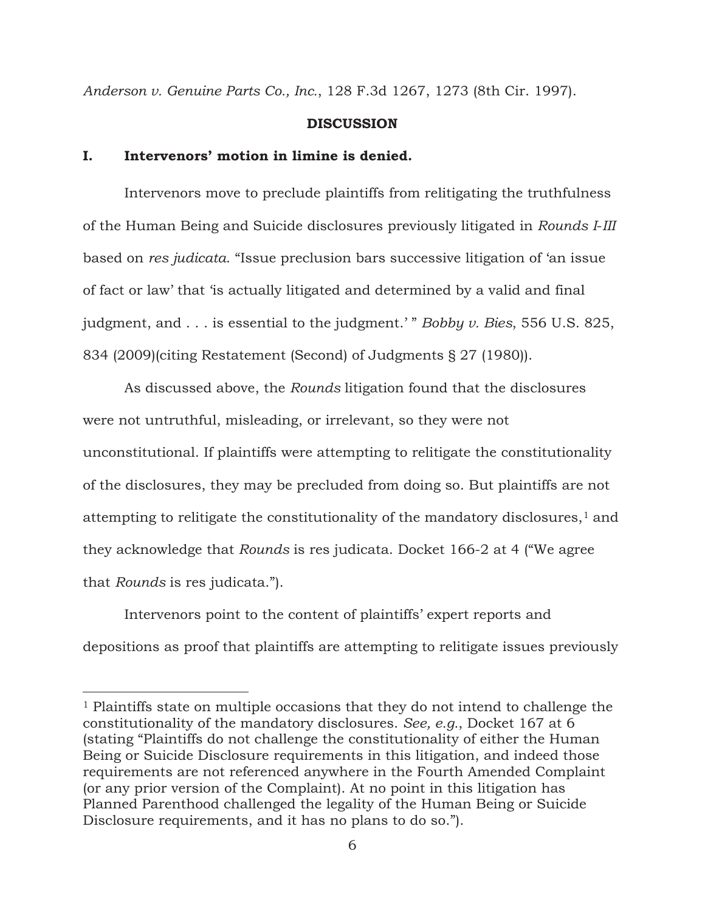*Anderson v. Genuine Parts Co., Inc.*, 128 F.3d 1267, 1273 (8th Cir. 1997).

### **DISCUSSION**

## **I. Intervenors' motion in limine is denied.**

 $\overline{a}$ 

 Intervenors move to preclude plaintiffs from relitigating the truthfulness of the Human Being and Suicide disclosures previously litigated in *Rounds I*-*III* based on *res judicata*. "Issue preclusion bars successive litigation of 'an issue of fact or law' that 'is actually litigated and determined by a valid and final judgment, and . . . is essential to the judgment.' " *Bobby v. Bies*, 556 U.S. 825, 834 (2009)(citing Restatement (Second) of Judgments § 27 (1980)).

 As discussed above, the *Rounds* litigation found that the disclosures were not untruthful, misleading, or irrelevant, so they were not unconstitutional. If plaintiffs were attempting to relitigate the constitutionality of the disclosures, they may be precluded from doing so. But plaintiffs are not attempting to relitigate the constitutionality of the mandatory disclosures, $<sup>1</sup>$  and</sup> they acknowledge that *Rounds* is res judicata. Docket 166-2 at 4 ("We agree that *Rounds* is res judicata.").

 Intervenors point to the content of plaintiffs' expert reports and depositions as proof that plaintiffs are attempting to relitigate issues previously

<sup>1</sup> Plaintiffs state on multiple occasions that they do not intend to challenge the constitutionality of the mandatory disclosures. *See, e.g.*, Docket 167 at 6 (stating "Plaintiffs do not challenge the constitutionality of either the Human Being or Suicide Disclosure requirements in this litigation, and indeed those requirements are not referenced anywhere in the Fourth Amended Complaint (or any prior version of the Complaint). At no point in this litigation has Planned Parenthood challenged the legality of the Human Being or Suicide Disclosure requirements, and it has no plans to do so.").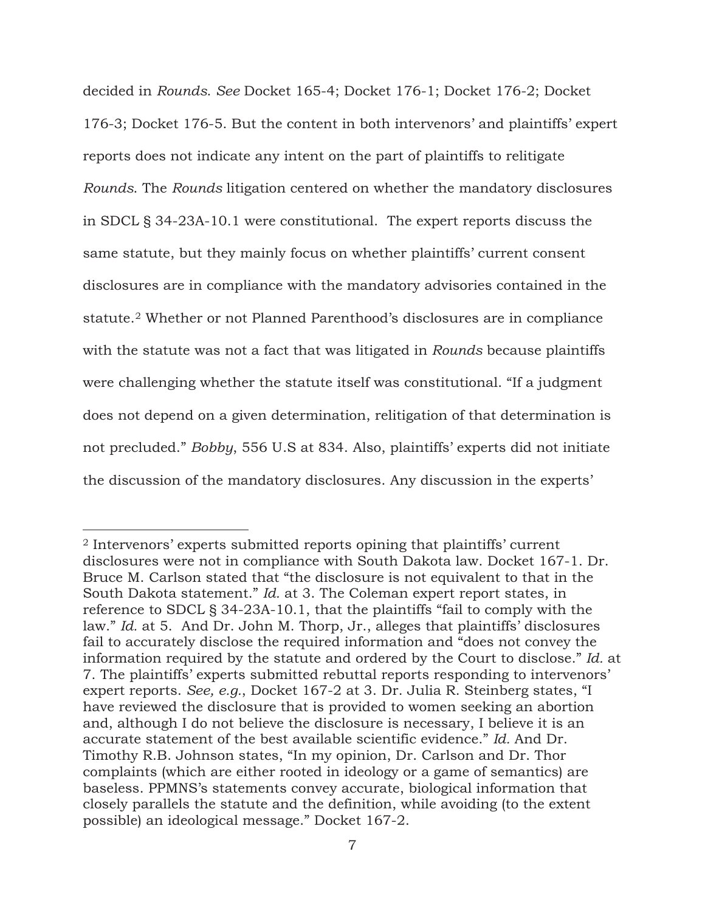decided in *Rounds*. *See* Docket 165-4; Docket 176-1; Docket 176-2; Docket 176-3; Docket 176-5. But the content in both intervenors' and plaintiffs' expert reports does not indicate any intent on the part of plaintiffs to relitigate *Rounds*. The *Rounds* litigation centered on whether the mandatory disclosures in SDCL § 34-23A-10.1 were constitutional. The expert reports discuss the same statute, but they mainly focus on whether plaintiffs' current consent disclosures are in compliance with the mandatory advisories contained in the statute.2 Whether or not Planned Parenthood's disclosures are in compliance with the statute was not a fact that was litigated in *Rounds* because plaintiffs were challenging whether the statute itself was constitutional. "If a judgment does not depend on a given determination, relitigation of that determination is not precluded." *Bobby*, 556 U.S at 834. Also, plaintiffs' experts did not initiate the discussion of the mandatory disclosures. Any discussion in the experts'

-

<sup>2</sup> Intervenors' experts submitted reports opining that plaintiffs' current disclosures were not in compliance with South Dakota law. Docket 167-1. Dr. Bruce M. Carlson stated that "the disclosure is not equivalent to that in the South Dakota statement." *Id.* at 3. The Coleman expert report states, in reference to SDCL § 34-23A-10.1, that the plaintiffs "fail to comply with the law." *Id.* at 5. And Dr. John M. Thorp, Jr., alleges that plaintiffs' disclosures fail to accurately disclose the required information and "does not convey the information required by the statute and ordered by the Court to disclose." *Id.* at 7. The plaintiffs' experts submitted rebuttal reports responding to intervenors' expert reports. *See, e.g.*, Docket 167-2 at 3. Dr. Julia R. Steinberg states, "I have reviewed the disclosure that is provided to women seeking an abortion and, although I do not believe the disclosure is necessary, I believe it is an accurate statement of the best available scientific evidence." *Id.* And Dr. Timothy R.B. Johnson states, "In my opinion, Dr. Carlson and Dr. Thor complaints (which are either rooted in ideology or a game of semantics) are baseless. PPMNS's statements convey accurate, biological information that closely parallels the statute and the definition, while avoiding (to the extent possible) an ideological message." Docket 167-2.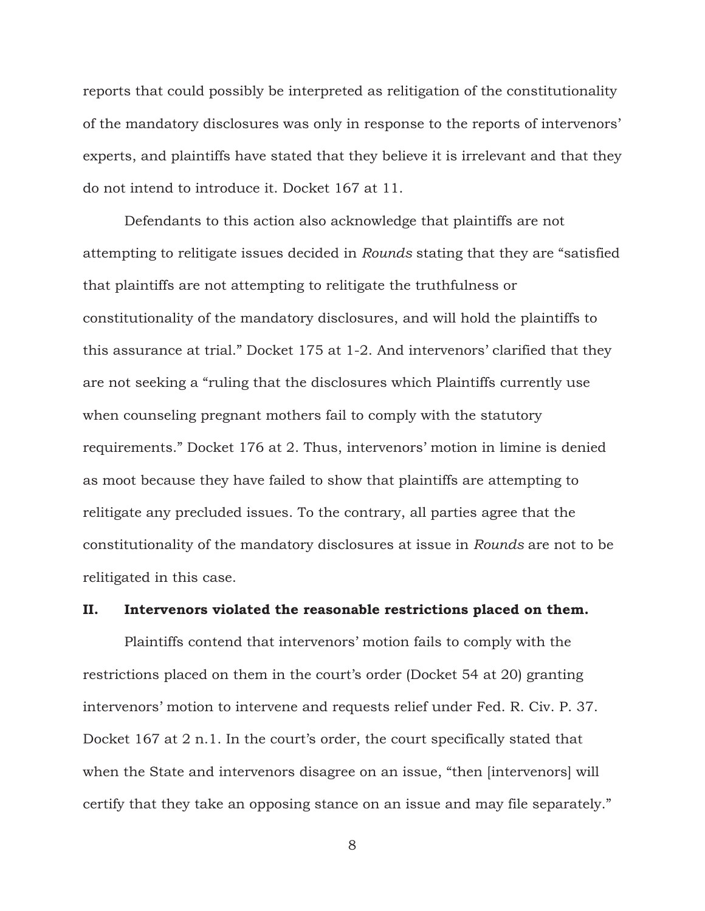reports that could possibly be interpreted as relitigation of the constitutionality of the mandatory disclosures was only in response to the reports of intervenors' experts, and plaintiffs have stated that they believe it is irrelevant and that they do not intend to introduce it. Docket 167 at 11.

 Defendants to this action also acknowledge that plaintiffs are not attempting to relitigate issues decided in *Rounds* stating that they are "satisfied that plaintiffs are not attempting to relitigate the truthfulness or constitutionality of the mandatory disclosures, and will hold the plaintiffs to this assurance at trial." Docket 175 at 1-2. And intervenors' clarified that they are not seeking a "ruling that the disclosures which Plaintiffs currently use when counseling pregnant mothers fail to comply with the statutory requirements." Docket 176 at 2. Thus, intervenors' motion in limine is denied as moot because they have failed to show that plaintiffs are attempting to relitigate any precluded issues. To the contrary, all parties agree that the constitutionality of the mandatory disclosures at issue in *Rounds* are not to be relitigated in this case.

## **II. Intervenors violated the reasonable restrictions placed on them.**

 Plaintiffs contend that intervenors' motion fails to comply with the restrictions placed on them in the court's order (Docket 54 at 20) granting intervenors' motion to intervene and requests relief under Fed. R. Civ. P. 37. Docket 167 at 2 n.1. In the court's order, the court specifically stated that when the State and intervenors disagree on an issue, "then [intervenors] will certify that they take an opposing stance on an issue and may file separately."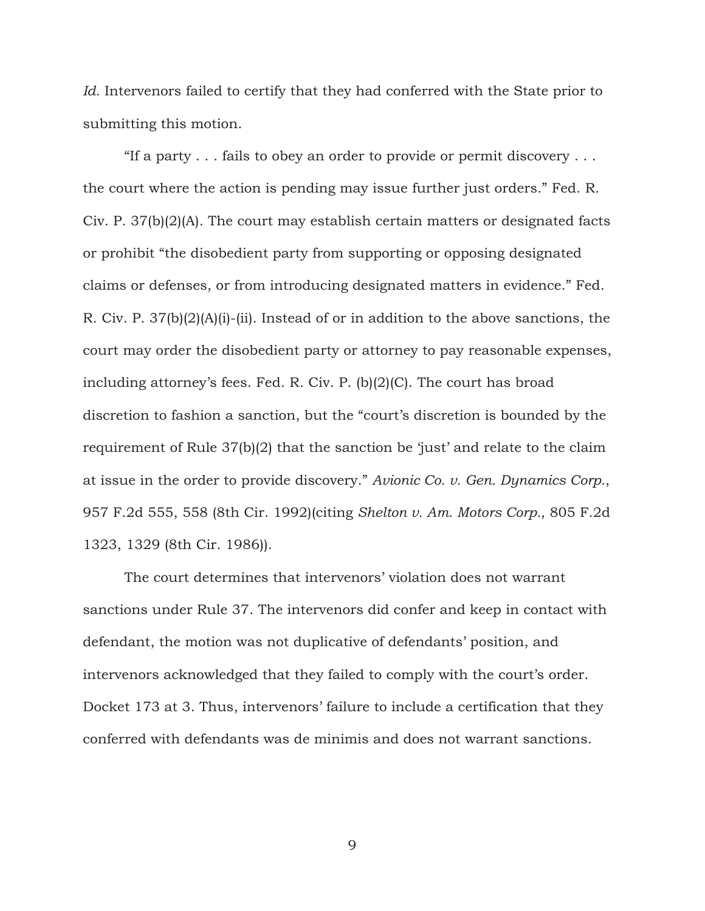*Id.* Intervenors failed to certify that they had conferred with the State prior to submitting this motion.

 "If a party . . . fails to obey an order to provide or permit discovery . . . the court where the action is pending may issue further just orders." Fed. R. Civ. P. 37(b)(2)(A). The court may establish certain matters or designated facts or prohibit "the disobedient party from supporting or opposing designated claims or defenses, or from introducing designated matters in evidence." Fed. R. Civ. P. 37(b)(2)(A)(i)-(ii). Instead of or in addition to the above sanctions, the court may order the disobedient party or attorney to pay reasonable expenses, including attorney's fees. Fed. R. Civ. P. (b)(2)(C). The court has broad discretion to fashion a sanction, but the "court's discretion is bounded by the requirement of Rule 37(b)(2) that the sanction be 'just' and relate to the claim at issue in the order to provide discovery." *Avionic Co. v. Gen. Dynamics Corp.*, 957 F.2d 555, 558 (8th Cir. 1992)(citing *Shelton v. Am. Motors Corp.*, 805 F.2d 1323, 1329 (8th Cir. 1986)).

 The court determines that intervenors' violation does not warrant sanctions under Rule 37. The intervenors did confer and keep in contact with defendant, the motion was not duplicative of defendants' position, and intervenors acknowledged that they failed to comply with the court's order. Docket 173 at 3. Thus, intervenors' failure to include a certification that they conferred with defendants was de minimis and does not warrant sanctions.